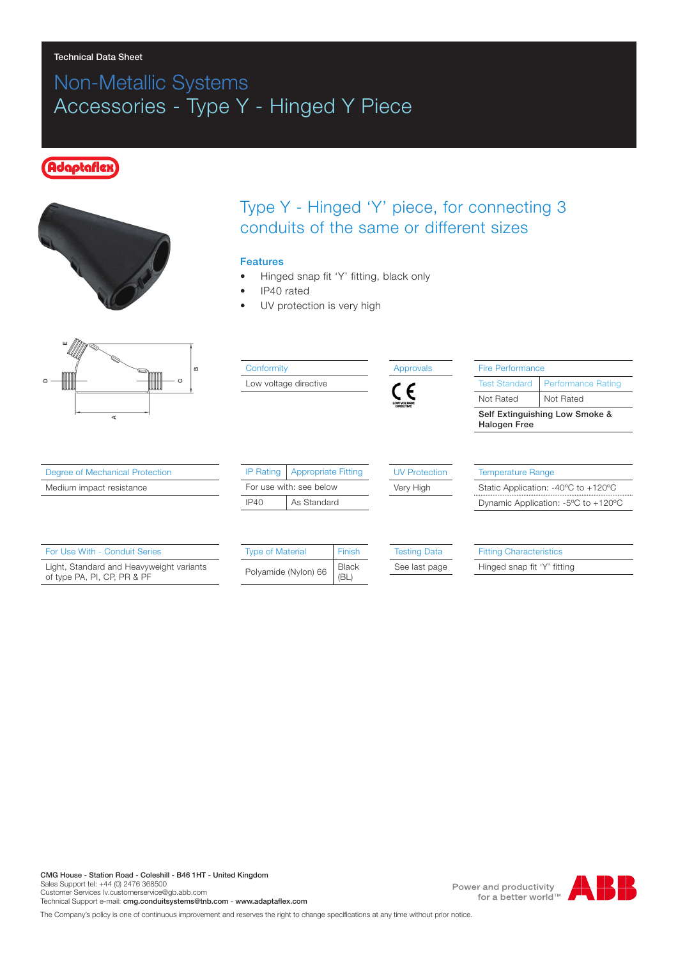### Technical Data Sheet

## Non-Metallic Systems Accessories - Type Y - Hinged Y Piece

### daptafle



## Type Y - Hinged 'Y' piece, for connecting 3 conduits of the same or different sizes

#### Features

- Hinged snap fit 'Y' fitting, black only
- IP40 rated
- UV protection is very high



#### **Conformity**

Low voltage directive



| <b>Fire Performance</b>                               |                           |  |  |  |
|-------------------------------------------------------|---------------------------|--|--|--|
| <b>Test Standard</b>                                  | <b>Performance Rating</b> |  |  |  |
| Not Rated                                             | Not Rated                 |  |  |  |
| Self Extinguishing Low Smoke &<br><b>Halogen Free</b> |                           |  |  |  |
|                                                       |                           |  |  |  |
|                                                       |                           |  |  |  |
| <b>Temperature Range</b>                              |                           |  |  |  |

Static Application: -40ºC to +120ºC Dynamic Application: -5ºC to +120ºC

| Degree of Mechanical Protection |  |  |  |
|---------------------------------|--|--|--|
|---------------------------------|--|--|--|

Medium impact resistance

| For Use With - Conduit Series                                           |
|-------------------------------------------------------------------------|
| Light, Standard and Heavyweight variants<br>of type PA, PI, CP, PR & PF |

| <b>Type of Material</b> | Finish       |
|-------------------------|--------------|
| Polyamide (Nylon) 66    | <b>Black</b> |

IP Rating | Appropriate Fitting For use with: see below IP40 | As Standard

Testing Data

UV Protection Very High

See last page

Fitting Characteristics

Hinged snap fit 'Y' fitting

CMG House - Station Road - Coleshill - B46 1HT - United Kingdom Sales Support tel: +44 (0) 2476 368500 Customer Services Iv.customerservice@gb.abb.com Technical Support e-mail: cmg.conduitsystems@tnb.com - www.adaptaflex.com

Power and productivity for a better world™

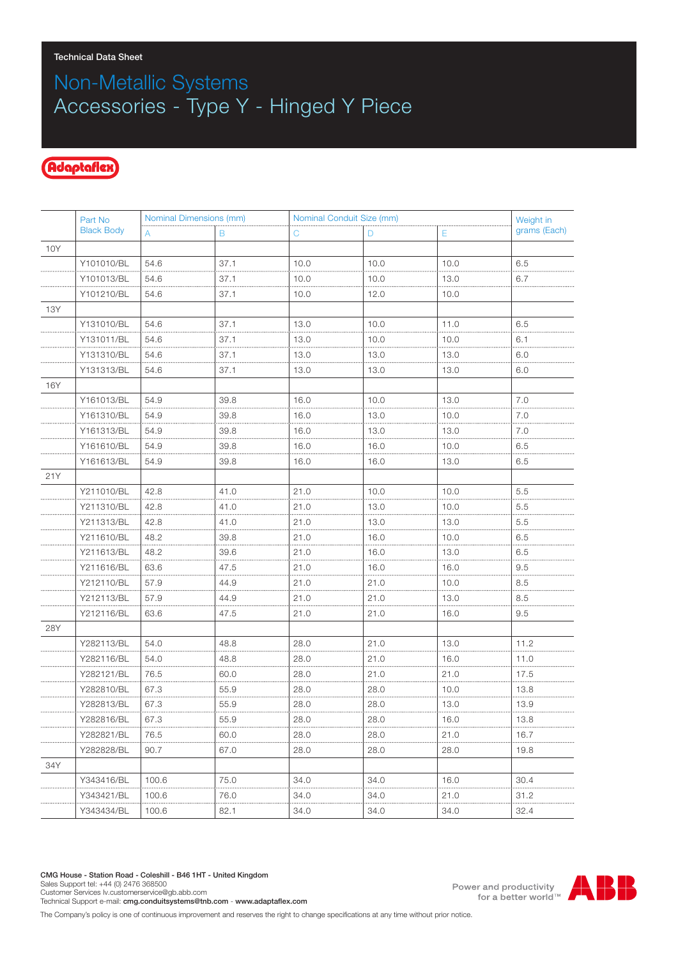# Non-Metallic Systems Accessories - Type Y - Hinged Y Piece

### Adaptaflex

|     | Part No           | Nominal Dimensions (mm) |      | Nominal Conduit Size (mm) |      |      | Weight in    |
|-----|-------------------|-------------------------|------|---------------------------|------|------|--------------|
|     | <b>Black Body</b> | A                       | B    | С                         | D    | Ε    | grams (Each) |
| 10Y |                   |                         |      |                           |      |      |              |
|     | Y101010/BL        | 54.6                    | 37.1 | 10.0                      | 10.0 | 10.0 | 6.5          |
|     | Y101013/BL        | 54.6                    | 37.1 | 10.0                      | 10.0 | 13.0 | 6.7          |
|     | Y101210/BL        | 54.6                    | 37.1 | 10.0                      | 12.0 | 10.0 |              |
| 13Y |                   |                         |      |                           |      |      |              |
|     | Y131010/BL        | 54.6                    | 37.1 | 13.0                      | 10.0 | 11.0 | 6.5          |
|     | Y131011/BL        | 54.6                    | 37.1 | 13.0                      | 10.0 | 10.0 | 6.1          |
|     | Y131310/BL        | 54.6                    | 37.1 | 13.0                      | 13.0 | 13.0 | 6.0          |
|     | Y131313/BL        | 54.6                    | 37.1 | 13.0                      | 13.0 | 13.0 | 6.0          |
| 16Y |                   |                         |      |                           |      |      |              |
|     | Y161013/BL        | 54.9                    | 39.8 | 16.0                      | 10.0 | 13.0 | 7.0          |
|     | Y161310/BL        | 54.9                    | 39.8 | 16.0                      | 13.0 | 10.0 | 7.0          |
|     | Y161313/BL        | 54.9                    | 39.8 | 16.0                      | 13.0 | 13.0 | 7.0          |
|     | Y161610/BL        | 54.9                    | 39.8 | 16.0                      | 16.0 | 10.0 | 6.5          |
|     | Y161613/BL        | 54.9                    | 39.8 | 16.0                      | 16.0 | 13.0 | 6.5          |
| 21Y |                   |                         |      |                           |      |      |              |
|     | Y211010/BL        | 42.8                    | 41.0 | 21.0                      | 10.0 | 10.0 | 5.5          |
|     | Y211310/BL        | 42.8                    | 41.0 | 21.0                      | 13.0 | 10.0 | 5.5          |
|     | Y211313/BL        | 42.8                    | 41.0 | 21.0                      | 13.0 | 13.0 | 5.5          |
|     | Y211610/BL        | 48.2                    | 39.8 | 21.0                      | 16.0 | 10.0 | 6.5          |
|     | Y211613/BL        | 48.2                    | 39.6 | 21.0                      | 16.0 | 13.0 | 6.5          |
|     | Y211616/BL        | 63.6                    | 47.5 | 21.0                      | 16.0 | 16.0 | 9.5          |
|     | Y212110/BL        | 57.9                    | 44.9 | 21.0                      | 21.0 | 10.0 | 8.5          |
|     | Y212113/BL        | 57.9                    | 44.9 | 21.0                      | 21.0 | 13.0 | 8.5          |
|     | Y212116/BL        | 63.6                    | 47.5 | 21.0                      | 21.0 | 16.0 | 9.5          |
| 28Y |                   |                         |      |                           |      |      |              |
|     | Y282113/BL        | 54.0                    | 48.8 | 28.0                      | 21.0 | 13.0 | 11.2         |
|     | Y282116/BL        | 54.0                    | 48.8 | 28.0                      | 21.0 | 16.0 | 11.0         |
|     | Y282121/BL        | 76.5                    | 60.0 | 28.0                      | 21.0 | 21.0 | 17.5         |
|     | Y282810/BL        | 67.3                    | 55.9 | 28.0                      | 28.0 | 10.0 | 13.8         |
|     | Y282813/BL        | 67.3                    | 55.9 | 28.0                      | 28.0 | 13.0 | 13.9         |
|     | Y282816/BL        | 67.3                    | 55.9 | 28.0                      | 28.0 | 16.0 | 13.8         |
|     | Y282821/BL        | 76.5                    | 60.0 | 28.0                      | 28.0 | 21.0 | 16.7         |
|     | Y282828/BL        | 90.7                    | 67.0 | 28.0                      | 28.0 | 28.0 | 19.8         |
| 34Y |                   |                         |      |                           |      |      |              |
|     | Y343416/BL        | 100.6                   | 75.0 | 34.0                      | 34.0 | 16.0 | 30.4         |
|     | Y343421/BL        | 100.6                   | 76.0 | 34.0                      | 34.0 | 21.0 | 31.2         |
|     | Y343434/BL        | 100.6                   | 82.1 | 34.0                      | 34.0 | 34.0 | 32.4         |

Power and productivity<br>for a better world<sup>™</sup>



The Company's policy is one of continuous improvement and reserves the right to change specifications at any time without prior notice.